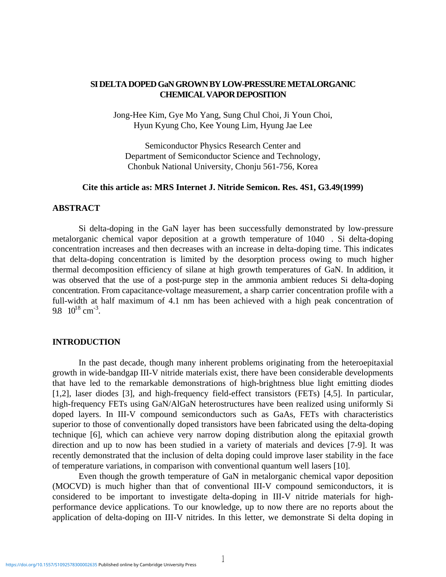# **SI DELTA DOPED GaN GROWN BY LOW-PRESSURE METALORGANIC CHEMICAL VAPOR DEPOSITION**

Jong-Hee Kim, Gye Mo Yang, Sung Chul Choi, Ji Youn Choi, Hyun Kyung Cho, Kee Young Lim, Hyung Jae Lee

Semiconductor Physics Research Center and Department of Semiconductor Science and Technology, Chonbuk National University, Chonju 561-756, Korea

#### **Cite this article as: MRS Internet J. Nitride Semicon. Res. 4S1, G3.49(1999)**

## **ABSTRACT**

Si delta-doping in the GaN layer has been successfully demonstrated by low-pressure metalorganic chemical vapor deposition at a growth temperature of 1040 . Si delta-doping concentration increases and then decreases with an increase in delta-doping time. This indicates that delta-doping concentration is limited by the desorption process owing to much higher thermal decomposition efficiency of silane at high growth temperatures of GaN. In addition, it was observed that the use of a post-purge step in the ammonia ambient reduces Si delta-doping concentration. From capacitance-voltage measurement, a sharp carrier concentration profile with a full-width at half maximum of 4.1 nm has been achieved with a high peak concentration of 9.8  $10^{18}$  cm<sup>-3</sup>.

#### **INTRODUCTION**

In the past decade, though many inherent problems originating from the heteroepitaxial growth in wide-bandgap III-V nitride materials exist, there have been considerable developments that have led to the remarkable demonstrations of high-brightness blue light emitting diodes [1,2], laser diodes [3], and high-frequency field-effect transistors (FETs) [4,5]. In particular, high-frequency FETs using GaN/AlGaN heterostructures have been realized using uniformly Si doped layers. In III-V compound semiconductors such as GaAs, FETs with characteristics superior to those of conventionally doped transistors have been fabricated using the delta-doping technique [6], which can achieve very narrow doping distribution along the epitaxial growth direction and up to now has been studied in a variety of materials and devices [7-9]. It was recently demonstrated that the inclusion of delta doping could improve laser stability in the face of temperature variations, in comparison with conventional quantum well lasers [10].

Even though the growth temperature of GaN in metalorganic chemical vapor deposition (MOCVD) is much higher than that of conventional III-V compound semiconductors, it is considered to be important to investigate delta-doping in III-V nitride materials for highperformance device applications. To our knowledge, up to now there are no reports about the application of delta-doping on III-V nitrides. In this letter, we demonstrate Si delta doping in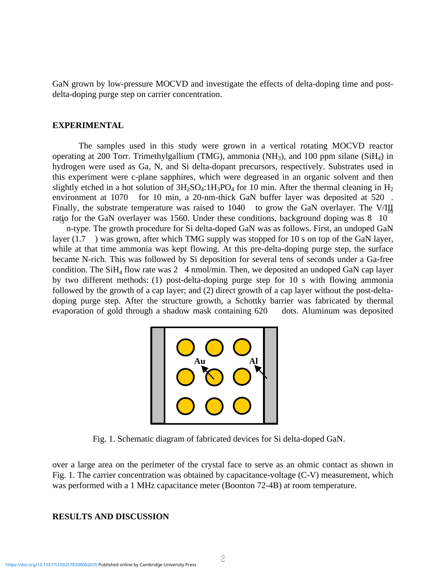GaN grown by low-pressure MOCVD and investigate the effects of delta-doping time and postdelta-doping purge step on carrier concentration.

#### **EXPERIMENTAL**

The samples used in this study were grown in a vertical rotating MOCVD reactor operating at 200 Torr. Trimethylgallium (TMG), ammonia (NH<sub>3</sub>), and 100 ppm silane (SiH<sub>4</sub>) in hydrogen were used as Ga, N, and Si delta-dopant precursors, respectively. Substrates used in this experiment were c-plane sapphires, which were degreased in an organic solvent and then slightly etched in a hot solution of  $3H_2SO_4$ :1H<sub>3</sub>PO<sub>4</sub> for 10 min. After the thermal cleaning in H<sub>2</sub> environment at 1070 for 10 min, a 20-nm-thick GaN buffer layer was deposited at 520. Finally, the substrate temperature was raised to 1040 to grow the GaN overlayer. The V/III ratio for the GaN overlayer was 1560. Under these conditions, background doping was 8 10

 n-type. The growth procedure for Si delta-doped GaN was as follows. First, an undoped GaN layer (1.7 ) was grown, after which TMG supply was stopped for 10 s on top of the GaN layer, while at that time ammonia was kept flowing. At this pre-delta-doping purge step, the surface became N-rich. This was followed by Si deposition for several tens of seconds under a Ga-free condition. The SiH<sub>4</sub> flow rate was 2 4 nmol/min. Then, we deposited an undoped GaN cap layer by two different methods: (1) post-delta-doping purge step for 10 s with flowing ammonia followed by the growth of a cap layer; and (2) direct growth of a cap layer without the post-deltadoping purge step. After the structure growth, a Schottky barrier was fabricated by thermal evaporation of gold through a shadow mask containing 620 dots. Aluminum was deposited



Fig. 1. Schematic diagram of fabricated devices for Si delta-doped GaN.

over a large area on the perimeter of the crystal face to serve as an ohmic contact as shown in Fig. 1. The carrier concentration was obtained by capacitance-voltage (C-V) measurement, which was performed with a 1 MHz capacitance meter (Boonton 72-4B) at room temperature.

## **RESULTS AND DISCUSSION**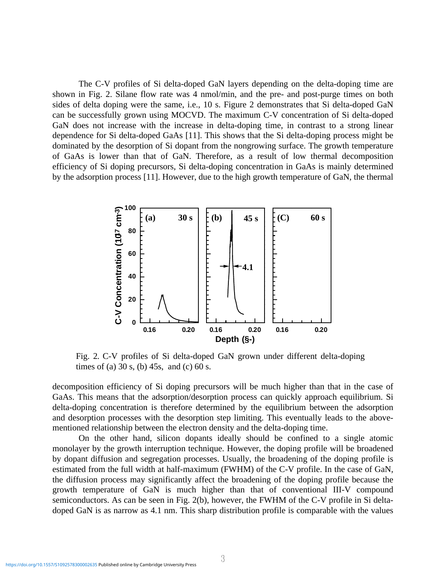The C-V profiles of Si delta-doped GaN layers depending on the delta-doping time are shown in Fig. 2. Silane flow rate was 4 nmol/min, and the pre- and post-purge times on both sides of delta doping were the same, i.e., 10 s. Figure 2 demonstrates that Si delta-doped GaN can be successfully grown using MOCVD. The maximum C-V concentration of Si delta-doped GaN does not increase with the increase in delta-doping time, in contrast to a strong linear dependence for Si delta-doped GaAs [11]. This shows that the Si delta-doping process might be dominated by the desorption of Si dopant from the nongrowing surface. The growth temperature of GaAs is lower than that of GaN. Therefore, as a result of low thermal decomposition efficiency of Si doping precursors, Si delta-doping concentration in GaAs is mainly determined by the adsorption process [11]. However, due to the high growth temperature of GaN, the thermal



Fig. 2. C-V profiles of Si delta-doped GaN grown under different delta-doping times of (a)  $30 s$ , (b)  $45 s$ , and (c)  $60 s$ .

decomposition efficiency of Si doping precursors will be much higher than that in the case of GaAs. This means that the adsorption/desorption process can quickly approach equilibrium. Si delta-doping concentration is therefore determined by the equilibrium between the adsorption and desorption processes with the desorption step limiting. This eventually leads to the abovementioned relationship between the electron density and the delta-doping time.

On the other hand, silicon dopants ideally should be confined to a single atomic monolayer by the growth interruption technique. However, the doping profile will be broadened by dopant diffusion and segregation processes. Usually, the broadening of the doping profile is estimated from the full width at half-maximum (FWHM) of the C-V profile. In the case of GaN, the diffusion process may significantly affect the broadening of the doping profile because the growth temperature of GaN is much higher than that of conventional III-V compound semiconductors. As can be seen in Fig. 2(b), however, the FWHM of the C-V profile in Si deltadoped GaN is as narrow as 4.1 nm. This sharp distribution profile is comparable with the values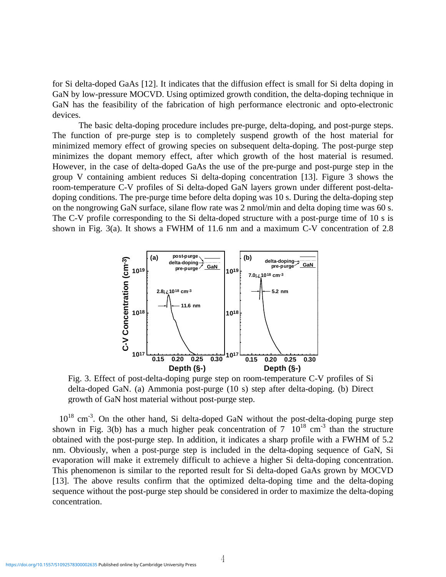for Si delta-doped GaAs [12]. It indicates that the diffusion effect is small for Si delta doping in GaN by low-pressure MOCVD. Using optimized growth condition, the delta-doping technique in GaN has the feasibility of the fabrication of high performance electronic and opto-electronic devices.

The basic delta-doping procedure includes pre-purge, delta-doping, and post-purge steps. The function of pre-purge step is to completely suspend growth of the host material for minimized memory effect of growing species on subsequent delta-doping. The post-purge step minimizes the dopant memory effect, after which growth of the host material is resumed. However, in the case of delta-doped GaAs the use of the pre-purge and post-purge step in the group V containing ambient reduces Si delta-doping concentration [13]. Figure 3 shows the room-temperature C-V profiles of Si delta-doped GaN layers grown under different post-deltadoping conditions. The pre-purge time before delta doping was 10 s. During the delta-doping step on the nongrowing GaN surface, silane flow rate was 2 nmol/min and delta doping time was 60 s. The C-V profile corresponding to the Si delta-doped structure with a post-purge time of 10 s is shown in Fig. 3(a). It shows a FWHM of 11.6 nm and a maximum C-V concentration of 2.8



Fig. 3. Effect of post-delta-doping purge step on room-temperature C-V profiles of Si delta-doped GaN. (a) Ammonia post-purge (10 s) step after delta-doping. (b) Direct growth of GaN host material without post-purge step.

 $10^{18}$  cm<sup>-3</sup>. On the other hand, Si delta-doped GaN without the post-delta-doping purge step shown in Fig. 3(b) has a much higher peak concentration of  $7 \times 10^{18}$  cm<sup>-3</sup> than the structure obtained with the post-purge step. In addition, it indicates a sharp profile with a FWHM of 5.2 nm. Obviously, when a post-purge step is included in the delta-doping sequence of GaN, Si evaporation will make it extremely difficult to achieve a higher Si delta-doping concentration. This phenomenon is similar to the reported result for Si delta-doped GaAs grown by MOCVD [13]. The above results confirm that the optimized delta-doping time and the delta-doping sequence without the post-purge step should be considered in order to maximize the delta-doping concentration.